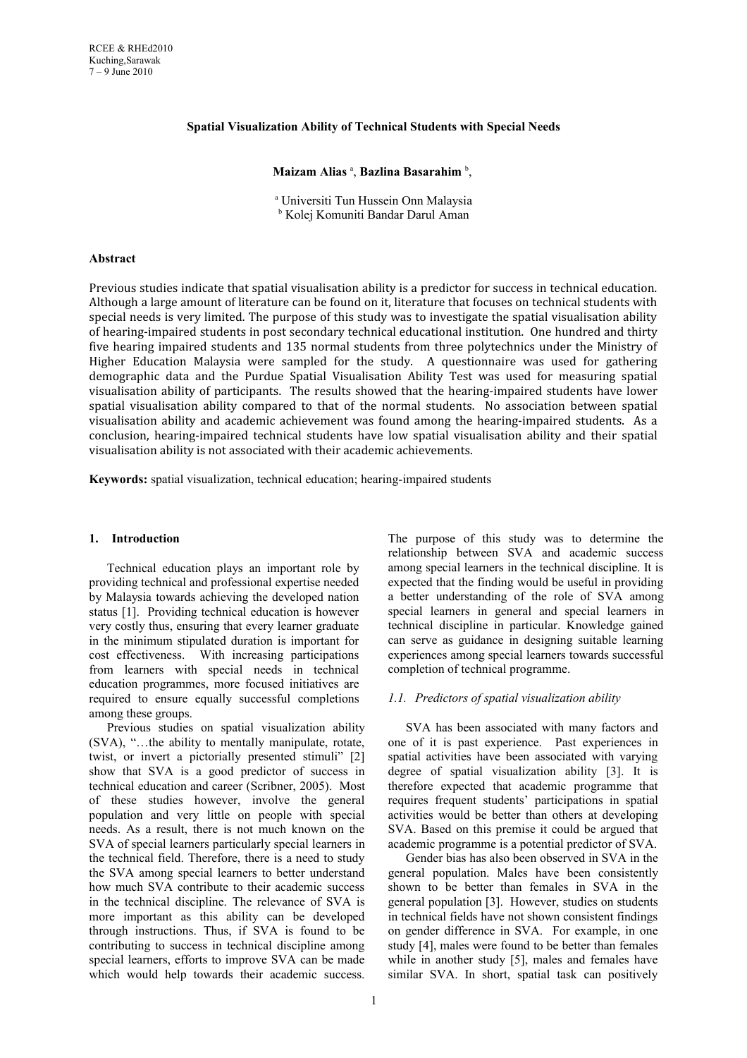## **Spatial Visualization Ability of Technical Students with Special Needs**

## **Maizam Alias**<sup>a</sup>, **Bazlina Basarahim**<sup>b</sup>,

a Universiti Tun Hussein Onn Malaysia b Kolej Komuniti Bandar Darul Aman

## **Abstract**

Previous studies indicate that spatial visualisation ability is a predictor for success in technical education. Although a large amount of literature can be found on it, literature that focuses on technical students with special needs is very limited. The purpose of this study was to investigate the spatial visualisation ability of hearing-impaired students in post secondary technical educational institution. One hundred and thirty five hearing impaired students and 135 normal students from three polytechnics under the Ministry of Higher Education Malaysia were sampled for the study. A questionnaire was used for gathering demographic data and the Purdue Spatial Visualisation Ability Test was used for measuring spatial visualisation ability of participants. The results showed that the hearing-impaired students have lower spatial visualisation ability compared to that of the normal students. No association between spatial visualisation ability and academic achievement was found among the hearing-impaired students. As a conclusion, hearing-impaired technical students have low spatial visualisation ability and their spatial visualisation ability is not associated with their academic achievements.

**Keywords:** spatial visualization, technical education; hearing-impaired students

#### **1. Introduction**

Technical education plays an important role by providing technical and professional expertise needed by Malaysia towards achieving the developed nation status [1]. Providing technical education is however very costly thus, ensuring that every learner graduate in the minimum stipulated duration is important for cost effectiveness. With increasing participations from learners with special needs in technical education programmes, more focused initiatives are required to ensure equally successful completions among these groups.

Previous studies on spatial visualization ability (SVA), "…the ability to mentally manipulate, rotate, twist, or invert a pictorially presented stimuli" [2] show that SVA is a good predictor of success in technical education and career (Scribner, 2005). Most of these studies however, involve the general population and very little on people with special needs. As a result, there is not much known on the SVA of special learners particularly special learners in the technical field. Therefore, there is a need to study the SVA among special learners to better understand how much SVA contribute to their academic success in the technical discipline. The relevance of SVA is more important as this ability can be developed through instructions. Thus, if SVA is found to be contributing to success in technical discipline among special learners, efforts to improve SVA can be made which would help towards their academic success.

The purpose of this study was to determine the relationship between SVA and academic success among special learners in the technical discipline. It is expected that the finding would be useful in providing a better understanding of the role of SVA among special learners in general and special learners in technical discipline in particular. Knowledge gained can serve as guidance in designing suitable learning experiences among special learners towards successful completion of technical programme.

## *1.1. Predictors of spatial visualization ability*

SVA has been associated with many factors and one of it is past experience. Past experiences in spatial activities have been associated with varying degree of spatial visualization ability [3]. It is therefore expected that academic programme that requires frequent students' participations in spatial activities would be better than others at developing SVA. Based on this premise it could be argued that academic programme is a potential predictor of SVA.

Gender bias has also been observed in SVA in the general population. Males have been consistently shown to be better than females in SVA in the general population [3]. However, studies on students in technical fields have not shown consistent findings on gender difference in SVA. For example, in one study [4], males were found to be better than females while in another study [5], males and females have similar SVA. In short, spatial task can positively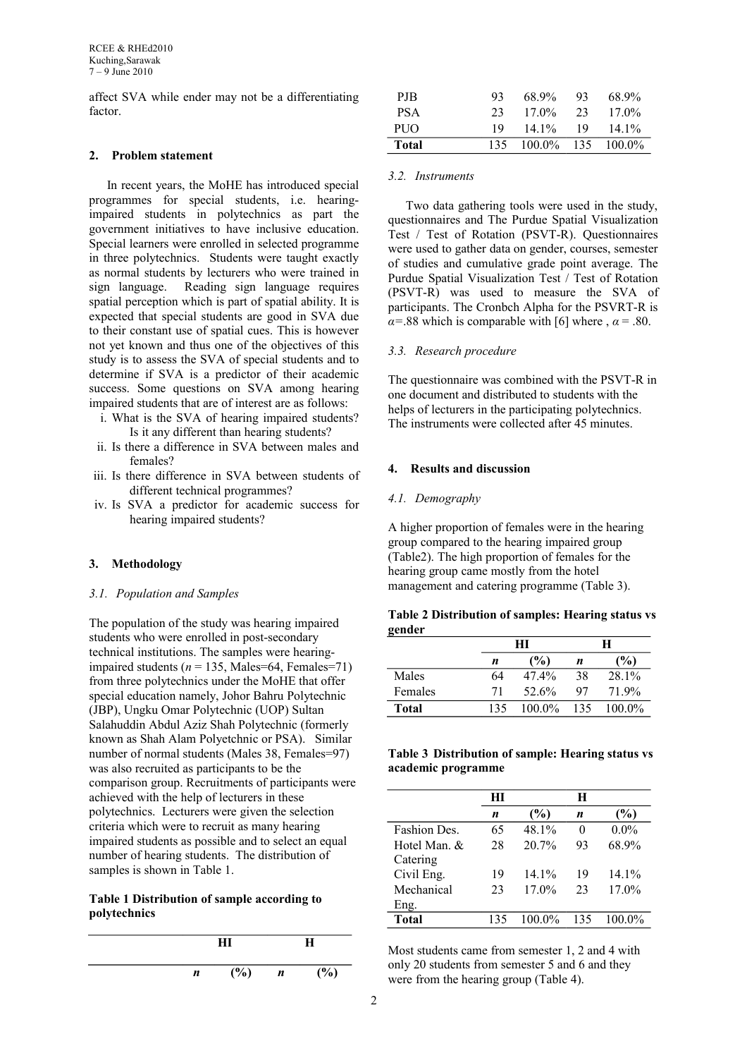affect SVA while ender may not be a differentiating factor.

#### **2. Problem statement**

In recent years, the MoHE has introduced special programmes for special students, i.e. hearingimpaired students in polytechnics as part the government initiatives to have inclusive education. Special learners were enrolled in selected programme in three polytechnics. Students were taught exactly as normal students by lecturers who were trained in sign language. Reading sign language requires spatial perception which is part of spatial ability. It is expected that special students are good in SVA due to their constant use of spatial cues. This is however not yet known and thus one of the objectives of this study is to assess the SVA of special students and to determine if SVA is a predictor of their academic success. Some questions on SVA among hearing impaired students that are of interest are as follows:

- i. What is the SVA of hearing impaired students? Is it any different than hearing students?
- ii. Is there a difference in SVA between males and females?
- iii. Is there difference in SVA between students of different technical programmes?
- iv. Is SVA a predictor for academic success for hearing impaired students?

# **3. Methodology**

### *3.1. Population and Samples*

The population of the study was hearing impaired students who were enrolled in post-secondary technical institutions. The samples were hearingimpaired students ( $n = 135$ , Males=64, Females=71) from three polytechnics under the MoHE that offer special education namely, Johor Bahru Polytechnic (JBP), Ungku Omar Polytechnic (UOP) Sultan Salahuddin Abdul Aziz Shah Polytechnic (formerly known as Shah Alam Polyetchnic or PSA). Similar number of normal students (Males 38, Females=97) was also recruited as participants to be the comparison group. Recruitments of participants were achieved with the help of lecturers in these polytechnics. Lecturers were given the selection criteria which were to recruit as many hearing impaired students as possible and to select an equal number of hearing students. The distribution of samples is shown in Table 1.

# **Table 1 Distribution of sample according to polytechnics**



| PJB        | 93  | 68.9%         | 93 | 68.9%     |
|------------|-----|---------------|----|-----------|
| <b>PSA</b> | 23  | $17.0\%$      | 23 | $17.0\%$  |
| <b>PUO</b> | 19  | 14 1\%        | 19 | $141\%$   |
| Total      | 135 | $100.0\%$ 135 |    | $100.0\%$ |

### *3.2. Instruments*

Two data gathering tools were used in the study, questionnaires and The Purdue Spatial Visualization Test / Test of Rotation (PSVT-R). Questionnaires were used to gather data on gender, courses, semester of studies and cumulative grade point average. The Purdue Spatial Visualization Test / Test of Rotation (PSVT-R) was used to measure the SVA of participants. The Cronbch Alpha for the PSVRT-R is *α*=.88 which is comparable with [6] where ,  $\alpha$  = .80.

### *3.3. Research procedure*

The questionnaire was combined with the PSVT-R in one document and distributed to students with the helps of lecturers in the participating polytechnics. The instruments were collected after 45 minutes.

#### **4. Results and discussion**

#### *4.1. Demography*

A higher proportion of females were in the hearing group compared to the hearing impaired group (Table2). The high proportion of females for the hearing group came mostly from the hotel management and catering programme (Table 3).

|        |  | Table 2 Distribution of samples: Hearing status vs |  |
|--------|--|----------------------------------------------------|--|
| gender |  |                                                    |  |

|              | HІ  |               | H   |          |
|--------------|-----|---------------|-----|----------|
|              | n   | $\frac{6}{6}$ | n   | (%)      |
| Males        | 64  | 47.4%         | 38  | 28.1%    |
| Females      | 71  | 52.6%         | 97  | 71 9%    |
| <b>Total</b> | 135 | $1000\%$      | 135 | $1000\%$ |

# **Table 3 Distribution of sample: Hearing status vs academic programme**

|              | HІ  |           | H   |          |
|--------------|-----|-----------|-----|----------|
|              | n   | $(\%)$    | n   | (%)      |
| Fashion Des. | 65  | 48.1%     | 0   | $0.0\%$  |
| Hotel Man. & | 28  | $20.7\%$  | 93  | 68.9%    |
| Catering     |     |           |     |          |
| Civil Eng.   | 19  | 14.1%     | 19  | 14.1%    |
| Mechanical   | 23  | $17.0\%$  | 23  | $17.0\%$ |
| Eng.         |     |           |     |          |
| <b>Total</b> | 135 | $100.0\%$ | 135 | 100 0%   |

Most students came from semester 1, 2 and 4 with only 20 students from semester 5 and 6 and they were from the hearing group (Table 4).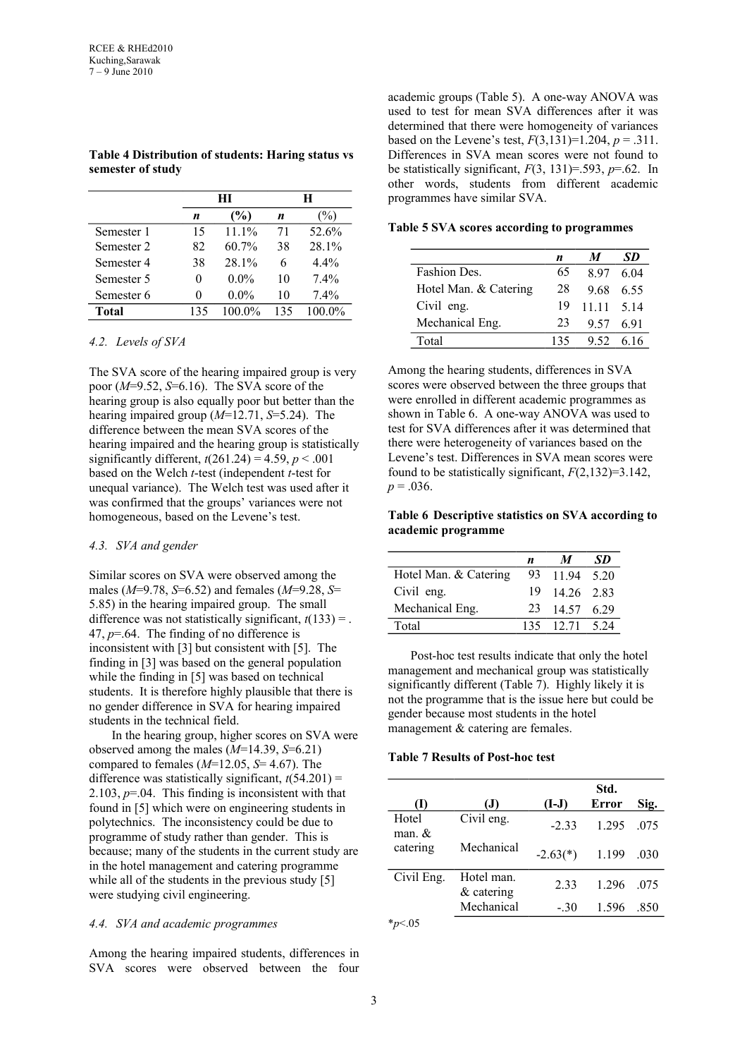|            |     | HТ            |     | н             |
|------------|-----|---------------|-----|---------------|
|            | n   | $\frac{6}{2}$ | n   | $\frac{7}{9}$ |
| Semester 1 | 15  | $111\%$       | 71  | 52.6%         |
| Semester 2 | 82  | $60.7\%$      | 38  | 28.1%         |
| Semester 4 | 38  | 28 1%         | 6   | $4.4\%$       |
| Semester 5 |     | $0.0\%$       | 10  | 7.4%          |
| Semester 6 |     | $0.0\%$       | 10  | 7.4%          |
| Total      | 135 | 100 0%        | 135 | 100 0%        |

**Table 4 Distribution of students: Haring status vs semester of study**

### *4.2. Levels of SVA*

The SVA score of the hearing impaired group is very poor (*M*=9.52, *S*=6.16). The SVA score of the hearing group is also equally poor but better than the hearing impaired group (*M*=12.71, *S*=5.24). The difference between the mean SVA scores of the hearing impaired and the hearing group is statistically significantly different,  $t(261.24) = 4.59$ ,  $p < .001$ based on the Welch *t*-test (independent *t*-test for unequal variance). The Welch test was used after it was confirmed that the groups' variances were not homogeneous, based on the Levene's test.

#### *4.3. SVA and gender*

Similar scores on SVA were observed among the males (*M*=9.78, *S*=6.52) and females (*M*=9.28, *S*= 5.85) in the hearing impaired group. The small difference was not statistically significant,  $t(133) =$ . 47, *p*=.64. The finding of no difference is inconsistent with [3] but consistent with [5]. The finding in [3] was based on the general population while the finding in [5] was based on technical students. It is therefore highly plausible that there is no gender difference in SVA for hearing impaired students in the technical field.

In the hearing group, higher scores on SVA were observed among the males (*M*=14.39, *S*=6.21) compared to females (*M*=12.05, *S*= 4.67). The difference was statistically significant,  $t(54.201) =$ 2.103,  $p=0.04$ . This finding is inconsistent with that found in [5] which were on engineering students in polytechnics. The inconsistency could be due to programme of study rather than gender. This is because; many of the students in the current study are in the hotel management and catering programme while all of the students in the previous study [5] were studying civil engineering.

# *4.4. SVA and academic programmes*

Among the hearing impaired students, differences in SVA scores were observed between the four academic groups (Table 5). A one-way ANOVA was used to test for mean SVA differences after it was determined that there were homogeneity of variances based on the Levene's test,  $F(3,131)=1.204$ ,  $p=.311$ . Differences in SVA mean scores were not found to be statistically significant,  $F(3, 131)=0.593$ ,  $p=.62$ . In other words, students from different academic programmes have similar SVA.

**Table 5 SVA scores according to programmes**

|                       | n   |              | SD   |
|-----------------------|-----|--------------|------|
| Fashion Des.          | 65  | 897          | 6 04 |
| Hotel Man. & Catering | 28  | 9.68         | 6.55 |
| Civil eng.            | 19  | $1111$ $514$ |      |
| Mechanical Eng.       | 23  | 9.57 6.91    |      |
| Total                 | 135 | 9.52         | 6 16 |

Among the hearing students, differences in SVA scores were observed between the three groups that were enrolled in different academic programmes as shown in Table 6. A one-way ANOVA was used to test for SVA differences after it was determined that there were heterogeneity of variances based on the Levene's test. Differences in SVA mean scores were found to be statistically significant, *F*(2,132)=3.142,  $p = .036$ .

**Table 6 Descriptive statistics on SVA according to academic programme**

|                       | n   | $\boldsymbol{M}$ | SD. |
|-----------------------|-----|------------------|-----|
| Hotel Man. & Catering | 93  | 11.94 5.20       |     |
| Civil eng.            | 19. | $1426$ 2.83      |     |
| Mechanical Eng.       | 23  | 14.57 6.29       |     |
| Total                 |     | 135 12.71 5.24   |     |

Post-hoc test results indicate that only the hotel management and mechanical group was statistically significantly different (Table 7). Highly likely it is not the programme that is the issue here but could be gender because most students in the hotel management & catering are females.

### **Table 7 Results of Post-hoc test**

| $\rm(I)$             | (J)                        | $(I-J)$    | Std.<br>Error | Sig. |
|----------------------|----------------------------|------------|---------------|------|
| Hotel<br>man. $&$    | Civil eng.                 | $-2.33$    | 1.295         | .075 |
| catering             | Mechanical                 | $-2.63(*)$ | 1.199         | .030 |
| Civil Eng.           | Hotel man.<br>$&$ catering | 2.33       | 1.296         | .075 |
| $\sim$ $\sim$ $\sim$ | Mechanical                 | $-.30$     | 1.596         | .850 |

\**p*<.05